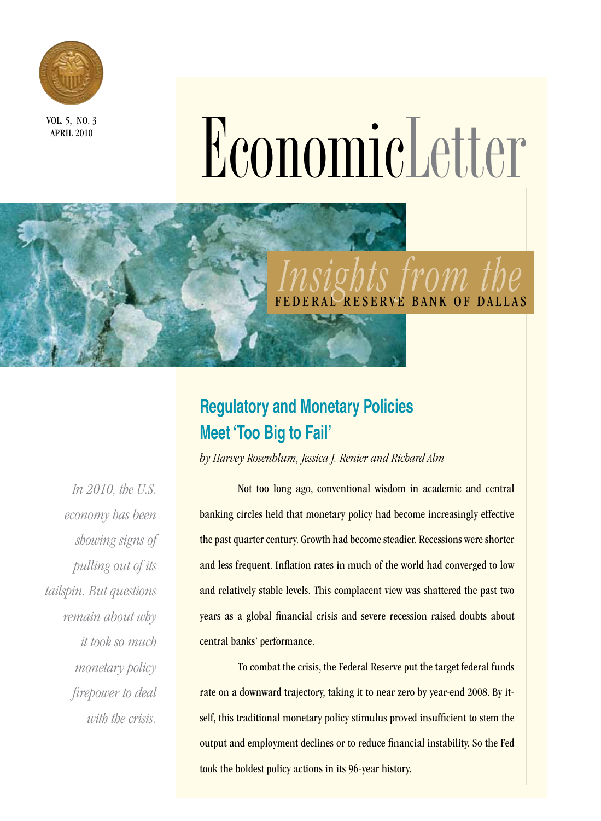

APRIL 2010

# NOOND COMPRESS NO.3

# *Insights from the*  BANK OF DALLAS

## **Regulatory and Monetary Policies Meet 'Too Big to Fail'**

*by Harvey Rosenblum, Jessica J. Renier and Richard Alm*

*In 2010, the U.S. economy has been showing signs of pulling out of its tailspin. But questions remain about why it took so much monetary policy firepower to deal with the crisis.*

 Not too long ago, conventional wisdom in academic and central banking circles held that monetary policy had become increasingly effective the past quarter century. Growth had become steadier. Recessions were shorter and less frequent. Inflation rates in much of the world had converged to low and relatively stable levels. This complacent view was shattered the past two years as a global financial crisis and severe recession raised doubts about central banks' performance.

To combat the crisis, the Federal Reserve put the target federal funds rate on a downward trajectory, taking it to near zero by year-end 2008. By itself, this traditional monetary policy stimulus proved insufficient to stem the output and employment declines or to reduce financial instability. So the Fed took the boldest policy actions in its 96-year history.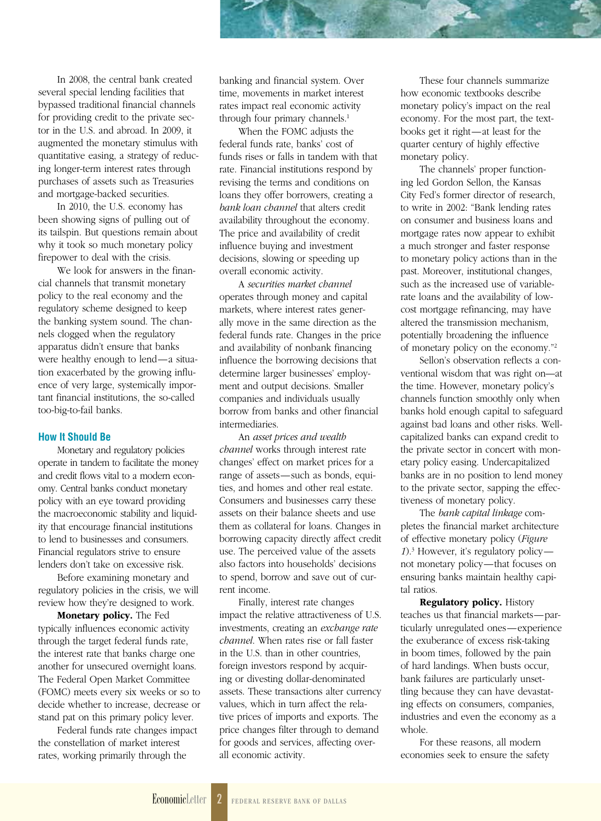In 2008, the central bank created several special lending facilities that bypassed traditional financial channels for providing credit to the private sector in the U.S. and abroad. In 2009, it augmented the monetary stimulus with quantitative easing, a strategy of reducing longer-term interest rates through purchases of assets such as Treasuries and mortgage-backed securities.

In 2010, the U.S. economy has been showing signs of pulling out of its tailspin. But questions remain about why it took so much monetary policy firepower to deal with the crisis.

We look for answers in the financial channels that transmit monetary policy to the real economy and the regulatory scheme designed to keep the banking system sound. The channels clogged when the regulatory apparatus didn't ensure that banks were healthy enough to lend—a situation exacerbated by the growing influence of very large, systemically important financial institutions, the so-called too-big-to-fail banks.

#### **How It Should Be**

Monetary and regulatory policies operate in tandem to facilitate the money and credit flows vital to a modern economy. Central banks conduct monetary policy with an eye toward providing the macroeconomic stability and liquidity that encourage financial institutions to lend to businesses and consumers. Financial regulators strive to ensure lenders don't take on excessive risk.

Before examining monetary and regulatory policies in the crisis, we will review how they're designed to work.

Monetary policy. The Fed typically influences economic activity through the target federal funds rate, the interest rate that banks charge one another for unsecured overnight loans. The Federal Open Market Committee (FOMC) meets every six weeks or so to decide whether to increase, decrease or stand pat on this primary policy lever.

Federal funds rate changes impact the constellation of market interest rates, working primarily through the

banking and financial system. Over time, movements in market interest rates impact real economic activity through four primary channels.<sup>1</sup>

When the FOMC adjusts the federal funds rate, banks' cost of funds rises or falls in tandem with that rate. Financial institutions respond by revising the terms and conditions on loans they offer borrowers, creating a *bank loan channel* that alters credit availability throughout the economy. The price and availability of credit influence buying and investment decisions, slowing or speeding up overall economic activity.

A *securities market channel* operates through money and capital markets, where interest rates generally move in the same direction as the federal funds rate. Changes in the price and availability of nonbank financing influence the borrowing decisions that determine larger businesses' employment and output decisions. Smaller companies and individuals usually borrow from banks and other financial intermediaries.

An *asset prices and wealth channel* works through interest rate changes' effect on market prices for a range of assets—such as bonds, equities, and homes and other real estate. Consumers and businesses carry these assets on their balance sheets and use them as collateral for loans. Changes in borrowing capacity directly affect credit use. The perceived value of the assets also factors into households' decisions to spend, borrow and save out of current income.

Finally, interest rate changes impact the relative attractiveness of U.S. investments, creating an *exchange rate channel*. When rates rise or fall faster in the U.S. than in other countries, foreign investors respond by acquiring or divesting dollar-denominated assets. These transactions alter currency values, which in turn affect the relative prices of imports and exports. The price changes filter through to demand for goods and services, affecting overall economic activity.

These four channels summarize how economic textbooks describe monetary policy's impact on the real economy. For the most part, the textbooks get it right—at least for the quarter century of highly effective monetary policy.

The channels' proper functioning led Gordon Sellon, the Kansas City Fed's former director of research, to write in 2002: "Bank lending rates on consumer and business loans and mortgage rates now appear to exhibit a much stronger and faster response to monetary policy actions than in the past. Moreover, institutional changes, such as the increased use of variablerate loans and the availability of lowcost mortgage refinancing, may have altered the transmission mechanism, potentially broadening the influence of monetary policy on the economy."2

Sellon's observation reflects a conventional wisdom that was right on—at the time. However, monetary policy's channels function smoothly only when banks hold enough capital to safeguard against bad loans and other risks. Wellcapitalized banks can expand credit to the private sector in concert with monetary policy easing. Undercapitalized banks are in no position to lend money to the private sector, sapping the effectiveness of monetary policy.

The *bank capital linkage* completes the financial market architecture of effective monetary policy (*Figure 1*).3 However, it's regulatory policy not monetary policy—that focuses on ensuring banks maintain healthy capital ratios.

Regulatory policy. History teaches us that financial markets—particularly unregulated ones—experience the exuberance of excess risk-taking in boom times, followed by the pain of hard landings. When busts occur, bank failures are particularly unsettling because they can have devastating effects on consumers, companies, industries and even the economy as a whole.

For these reasons, all modern economies seek to ensure the safety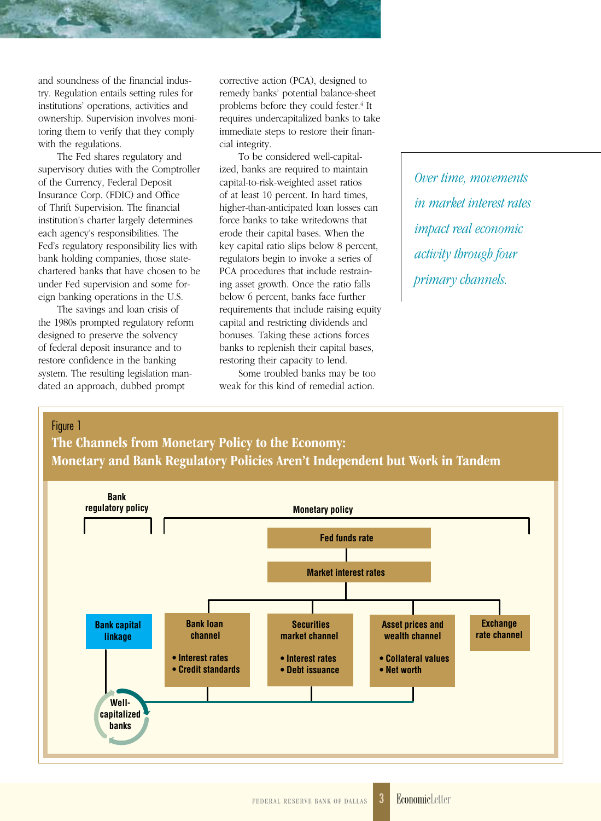and soundness of the financial industry. Regulation entails setting rules for institutions' operations, activities and ownership. Supervision involves monitoring them to verify that they comply with the regulations.

The Fed shares regulatory and supervisory duties with the Comptroller of the Currency, Federal Deposit Insurance Corp. (FDIC) and Office of Thrift Supervision. The financial institution's charter largely determines each agency's responsibilities. The Fed's regulatory responsibility lies with bank holding companies, those statechartered banks that have chosen to be under Fed supervision and some foreign banking operations in the U.S.

The savings and loan crisis of the 1980s prompted regulatory reform designed to preserve the solvency of federal deposit insurance and to restore confidence in the banking system. The resulting legislation mandated an approach, dubbed prompt

> **Wellcapitalized banks**

corrective action (PCA), designed to remedy banks' potential balance-sheet problems before they could fester.<sup>4</sup> It requires undercapitalized banks to take immediate steps to restore their financial integrity.

To be considered well-capitalized, banks are required to maintain capital-to-risk-weighted asset ratios of at least 10 percent. In hard times, higher-than-anticipated loan losses can force banks to take writedowns that erode their capital bases. When the key capital ratio slips below 8 percent, regulators begin to invoke a series of PCA procedures that include restraining asset growth. Once the ratio falls below 6 percent, banks face further requirements that include raising equity capital and restricting dividends and bonuses. Taking these actions forces banks to replenish their capital bases, restoring their capacity to lend.

Some troubled banks may be too weak for this kind of remedial action.

*Over time, movements in market interest rates impact real economic activity through four primary channels.*



**• Interest rates • Debt issuance**

**• Interest rates • Credit standards** **• Collateral values • Net worth**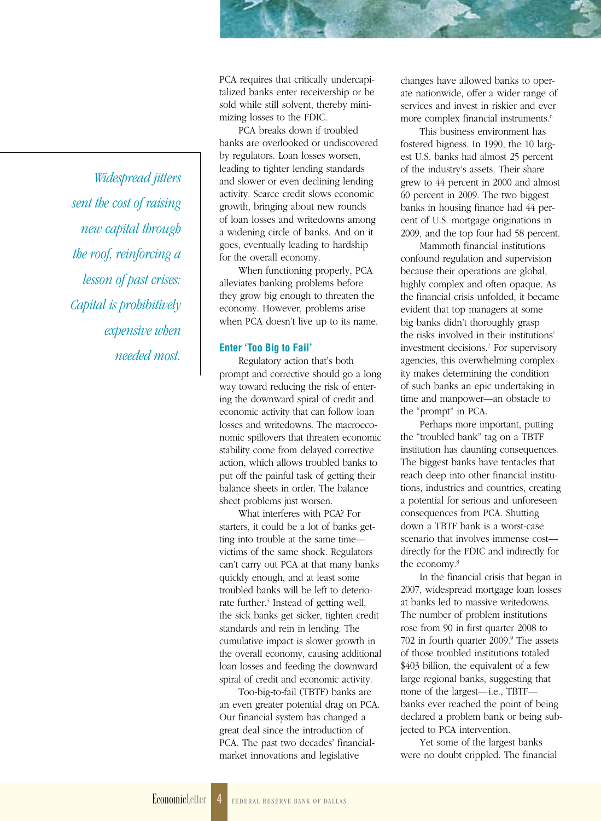*Widespread jitters sent the cost of raising new capital through the roof, reinforcing a lesson of past crises: Capital is prohibitively expensive when needed most.* PCA requires that critically undercapitalized banks enter receivership or be sold while still solvent, thereby minimizing losses to the FDIC.

PCA breaks down if troubled banks are overlooked or undiscovered by regulators. Loan losses worsen, leading to tighter lending standards and slower or even declining lending activity. Scarce credit slows economic growth, bringing about new rounds of loan losses and writedowns among a widening circle of banks. And on it goes, eventually leading to hardship for the overall economy.

When functioning properly, PCA alleviates banking problems before they grow big enough to threaten the economy. However, problems arise when PCA doesn't live up to its name.

#### **Enter 'Too Big to Fail'**

Regulatory action that's both prompt and corrective should go a long way toward reducing the risk of entering the downward spiral of credit and economic activity that can follow loan losses and writedowns. The macroeconomic spillovers that threaten economic stability come from delayed corrective action, which allows troubled banks to put off the painful task of getting their balance sheets in order. The balance sheet problems just worsen.

What interferes with PCA? For starters, it could be a lot of banks getting into trouble at the same time victims of the same shock. Regulators can't carry out PCA at that many banks quickly enough, and at least some troubled banks will be left to deteriorate further.<sup>5</sup> Instead of getting well, the sick banks get sicker, tighten credit standards and rein in lending. The cumulative impact is slower growth in the overall economy, causing additional loan losses and feeding the downward spiral of credit and economic activity.

Too-big-to-fail (TBTF) banks are an even greater potential drag on PCA. Our financial system has changed a great deal since the introduction of PCA. The past two decades' financialmarket innovations and legislative

changes have allowed banks to operate nationwide, offer a wider range of services and invest in riskier and ever more complex financial instruments.<sup>6</sup>

This business environment has fostered bigness. In 1990, the 10 largest U.S. banks had almost 25 percent of the industry's assets. Their share grew to 44 percent in 2000 and almost 60 percent in 2009. The two biggest banks in housing finance had 44 percent of U.S. mortgage originations in 2009, and the top four had 58 percent.

Mammoth financial institutions confound regulation and supervision because their operations are global, highly complex and often opaque. As the financial crisis unfolded, it became evident that top managers at some big banks didn't thoroughly grasp the risks involved in their institutions' investment decisions.7 For supervisory agencies, this overwhelming complexity makes determining the condition of such banks an epic undertaking in time and manpower—an obstacle to the "prompt" in PCA.

Perhaps more important, putting the "troubled bank" tag on a TBTF institution has daunting consequences. The biggest banks have tentacles that reach deep into other financial institutions, industries and countries, creating a potential for serious and unforeseen consequences from PCA. Shutting down a TBTF bank is a worst-case scenario that involves immense cost directly for the FDIC and indirectly for the economy.8

In the financial crisis that began in 2007, widespread mortgage loan losses at banks led to massive writedowns. The number of problem institutions rose from 90 in first quarter 2008 to 702 in fourth quarter 2009.<sup>9</sup> The assets of those troubled institutions totaled \$403 billion, the equivalent of a few large regional banks, suggesting that none of the largest—i.e., TBTF banks ever reached the point of being declared a problem bank or being subjected to PCA intervention.

Yet some of the largest banks were no doubt crippled. The financial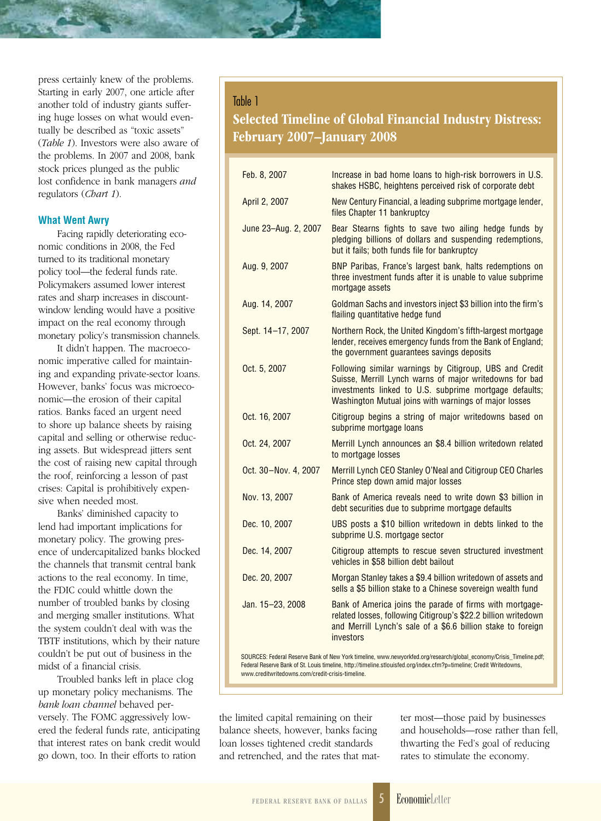press certainly knew of the problems. Starting in early 2007, one article after another told of industry giants suffering huge losses on what would eventually be described as "toxic assets" (*Table 1*). Investors were also aware of the problems. In 2007 and 2008, bank stock prices plunged as the public lost confidence in bank managers *and* regulators (*Chart 1*).

#### **What Went Awry**

Facing rapidly deteriorating economic conditions in 2008, the Fed turned to its traditional monetary policy tool—the federal funds rate. Policymakers assumed lower interest rates and sharp increases in discountwindow lending would have a positive impact on the real economy through monetary policy's transmission channels.

It didn't happen. The macroeconomic imperative called for maintaining and expanding private-sector loans. However, banks' focus was microeconomic—the erosion of their capital ratios. Banks faced an urgent need to shore up balance sheets by raising capital and selling or otherwise reducing assets. But widespread jitters sent the cost of raising new capital through the roof, reinforcing a lesson of past crises: Capital is prohibitively expensive when needed most.

Banks' diminished capacity to lend had important implications for monetary policy. The growing presence of undercapitalized banks blocked the channels that transmit central bank actions to the real economy. In time, the FDIC could whittle down the number of troubled banks by closing and merging smaller institutions. What the system couldn't deal with was the TBTF institutions, which by their nature couldn't be put out of business in the midst of a financial crisis.

Troubled banks left in place clog up monetary policy mechanisms. The *bank loan channel* behaved perversely. The FOMC aggressively lowered the federal funds rate, anticipating that interest rates on bank credit would go down, too. In their efforts to ration

#### Table 1

### Selected Timeline of Global Financial Industry Distress: February 2007–January 2008

| Feb. 8, 2007         | Increase in bad home loans to high-risk borrowers in U.S.<br>shakes HSBC, heightens perceived risk of corporate debt                                                                                                                  |
|----------------------|---------------------------------------------------------------------------------------------------------------------------------------------------------------------------------------------------------------------------------------|
| April 2, 2007        | New Century Financial, a leading subprime mortgage lender,<br>files Chapter 11 bankruptcy                                                                                                                                             |
| June 23-Aug. 2, 2007 | Bear Stearns fights to save two ailing hedge funds by<br>pledging billions of dollars and suspending redemptions,<br>but it fails; both funds file for bankruptcy                                                                     |
| Aug. 9, 2007         | BNP Paribas, France's largest bank, halts redemptions on<br>three investment funds after it is unable to value subprime<br>mortgage assets                                                                                            |
| Aug. 14, 2007        | Goldman Sachs and investors inject \$3 billion into the firm's<br>flailing quantitative hedge fund                                                                                                                                    |
| Sept. 14-17, 2007    | Northern Rock, the United Kingdom's fifth-largest mortgage<br>lender, receives emergency funds from the Bank of England;<br>the government guarantees savings deposits                                                                |
| Oct. 5, 2007         | Following similar warnings by Citigroup, UBS and Credit<br>Suisse, Merrill Lynch warns of major writedowns for bad<br>investments linked to U.S. subprime mortgage defaults;<br>Washington Mutual joins with warnings of major losses |
| Oct. 16, 2007        | Citigroup begins a string of major writedowns based on<br>subprime mortgage loans                                                                                                                                                     |
| Oct. 24, 2007        | Merrill Lynch announces an \$8.4 billion writedown related<br>to mortgage losses                                                                                                                                                      |
| Oct. 30-Nov. 4, 2007 | Merrill Lynch CEO Stanley O'Neal and Citigroup CEO Charles<br>Prince step down amid major losses                                                                                                                                      |
| Nov. 13, 2007        | Bank of America reveals need to write down \$3 billion in<br>debt securities due to subprime mortgage defaults                                                                                                                        |
| Dec. 10, 2007        | UBS posts a \$10 billion writedown in debts linked to the<br>subprime U.S. mortgage sector                                                                                                                                            |
| Dec. 14, 2007        | Citigroup attempts to rescue seven structured investment<br>vehicles in \$58 billion debt bailout                                                                                                                                     |
| Dec. 20, 2007        | Morgan Stanley takes a \$9.4 billion writedown of assets and<br>sells a \$5 billion stake to a Chinese sovereign wealth fund                                                                                                          |
| Jan. 15-23, 2008     | Bank of America joins the parade of firms with mortgage-<br>related losses, following Citigroup's \$22.2 billion writedown<br>and Merrill Lynch's sale of a \$6.6 billion stake to foreign<br>investors                               |

SOURCES: Federal Reserve Bank of New York timeline, www.newyorkfed.org/research/global\_economy/Crisis\_Timeline.pdf; Federal Reserve Bank of St. Louis timeline, http://timeline.stlouisfed.org/index.cfm?p=timeline; Credit Writedowns, www.creditwritedowns.com/credit-crisis-timeline.

the limited capital remaining on their balance sheets, however, banks facing loan losses tightened credit standards and retrenched, and the rates that matter most—those paid by businesses and households—rose rather than fell, thwarting the Fed's goal of reducing rates to stimulate the economy.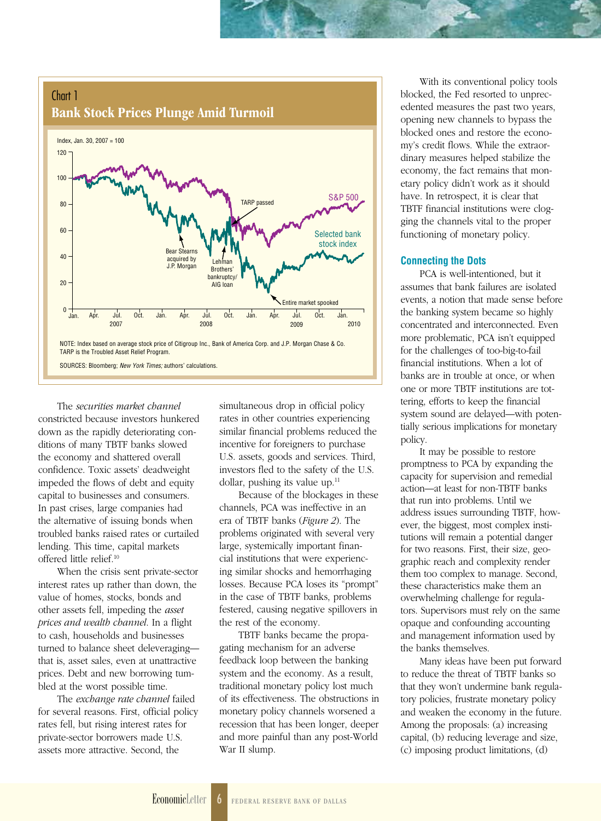#### Chart 1 Bank Stock Prices Plunge Amid Turmoil



The *securities market channel* constricted because investors hunkered down as the rapidly deteriorating conditions of many TBTF banks slowed the economy and shattered overall confidence. Toxic assets' deadweight impeded the flows of debt and equity capital to businesses and consumers. In past crises, large companies had the alternative of issuing bonds when troubled banks raised rates or curtailed lending. This time, capital markets offered little relief.10

When the crisis sent private-sector interest rates up rather than down, the value of homes, stocks, bonds and other assets fell, impeding the *asset prices and wealth channel*. In a flight to cash, households and businesses turned to balance sheet deleveraging that is, asset sales, even at unattractive prices. Debt and new borrowing tumbled at the worst possible time.

The *exchange rate channel* failed for several reasons. First, official policy rates fell, but rising interest rates for private-sector borrowers made U.S. assets more attractive. Second, the

simultaneous drop in official policy rates in other countries experiencing similar financial problems reduced the incentive for foreigners to purchase U.S. assets, goods and services. Third, investors fled to the safety of the U.S. dollar, pushing its value up. $11$ 

Because of the blockages in these channels, PCA was ineffective in an era of TBTF banks (*Figure 2*). The problems originated with several very large, systemically important financial institutions that were experiencing similar shocks and hemorrhaging losses. Because PCA loses its "prompt" in the case of TBTF banks, problems festered, causing negative spillovers in the rest of the economy.

TBTF banks became the propagating mechanism for an adverse feedback loop between the banking system and the economy. As a result, traditional monetary policy lost much of its effectiveness. The obstructions in monetary policy channels worsened a recession that has been longer, deeper and more painful than any post-World War II slump.

With its conventional policy tools blocked, the Fed resorted to unprecedented measures the past two years, opening new channels to bypass the blocked ones and restore the economy's credit flows. While the extraordinary measures helped stabilize the economy, the fact remains that monetary policy didn't work as it should have. In retrospect, it is clear that TBTF financial institutions were clogging the channels vital to the proper functioning of monetary policy.

#### **Connecting the Dots**

PCA is well-intentioned, but it assumes that bank failures are isolated events, a notion that made sense before the banking system became so highly concentrated and interconnected. Even more problematic, PCA isn't equipped for the challenges of too-big-to-fail financial institutions. When a lot of banks are in trouble at once, or when one or more TBTF institutions are tottering, efforts to keep the financial system sound are delayed—with potentially serious implications for monetary policy.

It may be possible to restore promptness to PCA by expanding the capacity for supervision and remedial action—at least for non-TBTF banks that run into problems. Until we address issues surrounding TBTF, however, the biggest, most complex institutions will remain a potential danger for two reasons. First, their size, geographic reach and complexity render them too complex to manage. Second, these characteristics make them an overwhelming challenge for regulators. Supervisors must rely on the same opaque and confounding accounting and management information used by the banks themselves.

Many ideas have been put forward to reduce the threat of TBTF banks so that they won't undermine bank regulatory policies, frustrate monetary policy and weaken the economy in the future. Among the proposals: (a) increasing capital, (b) reducing leverage and size, (c) imposing product limitations, (d)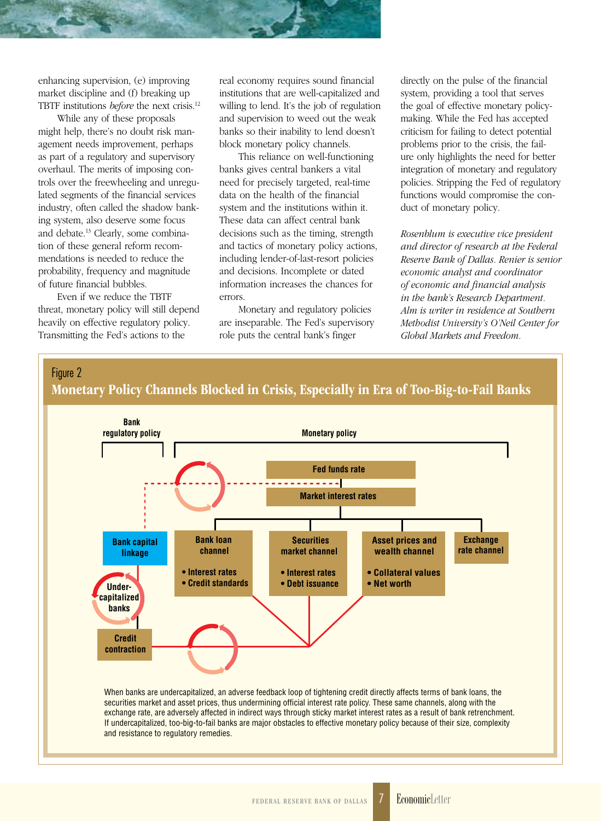enhancing supervision, (e) improving market discipline and (f) breaking up TBTF institutions *before* the next crisis.12

While any of these proposals might help, there's no doubt risk management needs improvement, perhaps as part of a regulatory and supervisory overhaul. The merits of imposing controls over the freewheeling and unregulated segments of the financial services industry, often called the shadow banking system, also deserve some focus and debate.13 Clearly, some combination of these general reform recommendations is needed to reduce the probability, frequency and magnitude of future financial bubbles.

Even if we reduce the TBTF threat, monetary policy will still depend heavily on effective regulatory policy. Transmitting the Fed's actions to the

real economy requires sound financial institutions that are well-capitalized and willing to lend. It's the job of regulation and supervision to weed out the weak banks so their inability to lend doesn't block monetary policy channels.

This reliance on well-functioning banks gives central bankers a vital need for precisely targeted, real-time data on the health of the financial system and the institutions within it. These data can affect central bank decisions such as the timing, strength and tactics of monetary policy actions, including lender-of-last-resort policies and decisions. Incomplete or dated information increases the chances for errors.

Monetary and regulatory policies are inseparable. The Fed's supervisory role puts the central bank's finger

directly on the pulse of the financial system, providing a tool that serves the goal of effective monetary policymaking. While the Fed has accepted criticism for failing to detect potential problems prior to the crisis, the failure only highlights the need for better integration of monetary and regulatory policies. Stripping the Fed of regulatory functions would compromise the conduct of monetary policy.

*Rosenblum is executive vice president and director of research at the Federal Reserve Bank of Dallas. Renier is senior economic analyst and coordinator of economic and financial analysis in the bank's Research Department. Alm is writer in residence at Southern Methodist University's O'Neil Center for Global Markets and Freedom.*



If undercapitalized, too-big-to-fail banks are major obstacles to effective monetary policy because of their size, complexity and resistance to regulatory remedies.